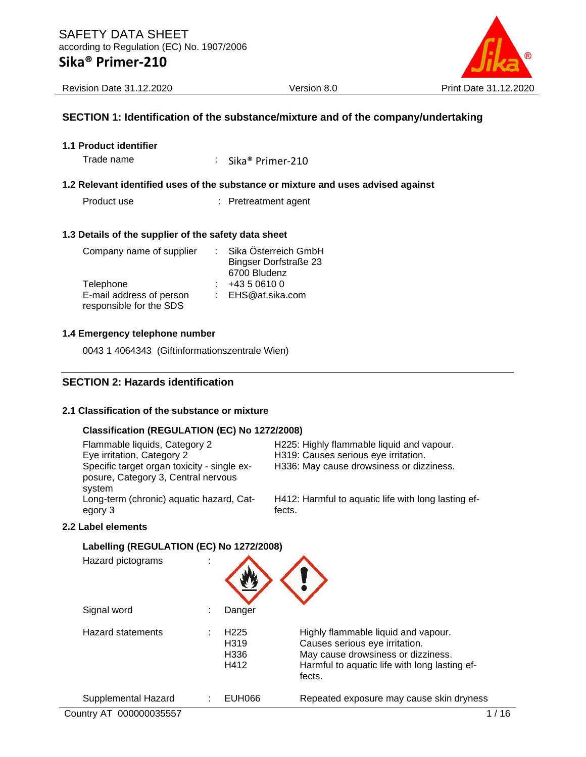

Revision Date 31.12.2020 Version 8.0 Print Date 31.12.2020

### **SECTION 1: Identification of the substance/mixture and of the company/undertaking**

**1.1 Product identifier**

Trade name : Sika® Primer-210

#### **1.2 Relevant identified uses of the substance or mixture and uses advised against**

Product use : Pretreatment agent

#### **1.3 Details of the supplier of the safety data sheet**

| Company name of supplier                            | Sika Österreich GmbH         |
|-----------------------------------------------------|------------------------------|
|                                                     | <b>Bingser Dorfstraße 23</b> |
|                                                     | 6700 Bludenz                 |
| Telephone                                           | +43 5 0610 0                 |
| E-mail address of person<br>responsible for the SDS | : EHS@at.sika.com            |
|                                                     |                              |

### **1.4 Emergency telephone number**

0043 1 4064343 (Giftinformationszentrale Wien)

### **SECTION 2: Hazards identification**

### **2.1 Classification of the substance or mixture**

### **Classification (REGULATION (EC) No 1272/2008)**

| Flammable liquids, Category 2<br>Eye irritation, Category 2<br>Specific target organ toxicity - single ex-<br>posure, Category 3, Central nervous | H225: Highly flammable liquid and vapour.<br>H319: Causes serious eye irritation.<br>H336: May cause drowsiness or dizziness. |
|---------------------------------------------------------------------------------------------------------------------------------------------------|-------------------------------------------------------------------------------------------------------------------------------|
| system<br>Long-term (chronic) aquatic hazard, Cat-<br>egory 3                                                                                     | H412: Harmful to aquatic life with long lasting ef-<br>fects.                                                                 |

#### **2.2 Label elements**

### **Labelling (REGULATION (EC) No 1272/2008)**

| Hazard pictograms        | ٠ |                                                       |                                                                                                                                                                        |      |
|--------------------------|---|-------------------------------------------------------|------------------------------------------------------------------------------------------------------------------------------------------------------------------------|------|
| Signal word              |   | Danger                                                |                                                                                                                                                                        |      |
| <b>Hazard statements</b> |   | H <sub>225</sub><br>H <sub>3</sub> 19<br>H336<br>H412 | Highly flammable liquid and vapour.<br>Causes serious eye irritation.<br>May cause drowsiness or dizziness.<br>Harmful to aquatic life with long lasting ef-<br>fects. |      |
| Supplemental Hazard      |   | EUH066                                                | Repeated exposure may cause skin dryness                                                                                                                               |      |
| Country AT 000000035557  |   |                                                       |                                                                                                                                                                        | ี 16 |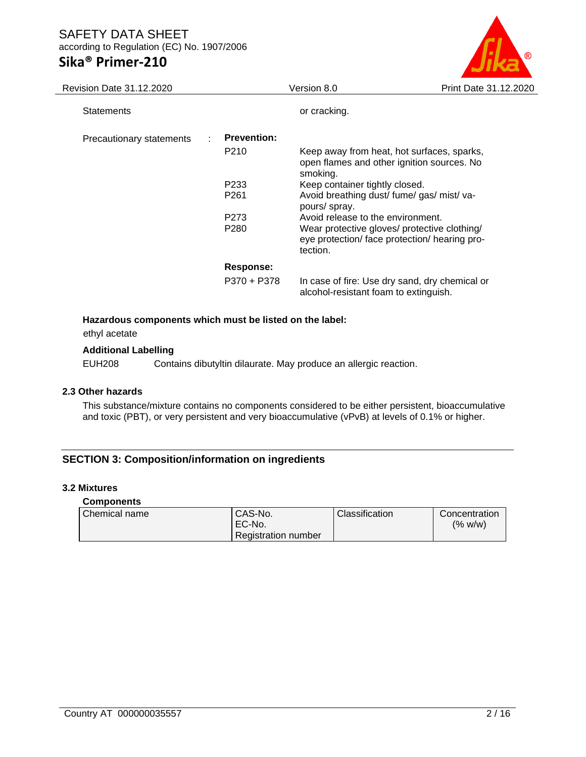## **Sika® Primer-210**



| Revision Date 31.12.2020 |                    | Version 8.0                                                                                               | Print Date 31.12.2020 |
|--------------------------|--------------------|-----------------------------------------------------------------------------------------------------------|-----------------------|
| <b>Statements</b>        |                    | or cracking.                                                                                              |                       |
| Precautionary statements | <b>Prevention:</b> |                                                                                                           |                       |
|                          | P <sub>210</sub>   | Keep away from heat, hot surfaces, sparks,<br>open flames and other ignition sources. No<br>smoking.      |                       |
|                          | P <sub>2</sub> 33  | Keep container tightly closed.                                                                            |                       |
|                          | P <sub>261</sub>   | Avoid breathing dust/ fume/ gas/ mist/ va-<br>pours/ spray.                                               |                       |
|                          | P273               | Avoid release to the environment.                                                                         |                       |
|                          | P <sub>280</sub>   | Wear protective gloves/ protective clothing/<br>eye protection/ face protection/ hearing pro-<br>tection. |                       |
|                          | <b>Response:</b>   |                                                                                                           |                       |
|                          | P370 + P378        | In case of fire: Use dry sand, dry chemical or<br>alcohol-resistant foam to extinguish.                   |                       |
|                          |                    |                                                                                                           |                       |

### **Hazardous components which must be listed on the label:**

ethyl acetate

### **Additional Labelling**

EUH208 Contains dibutyltin dilaurate. May produce an allergic reaction.

### **2.3 Other hazards**

This substance/mixture contains no components considered to be either persistent, bioaccumulative and toxic (PBT), or very persistent and very bioaccumulative (vPvB) at levels of 0.1% or higher.

### **SECTION 3: Composition/information on ingredients**

#### **3.2 Mixtures**

#### **Components**

| Chemical name | CAS-No.             | Classification | Concentration |
|---------------|---------------------|----------------|---------------|
|               | 'EC-No.             |                | (% w/w)       |
|               | Registration number |                |               |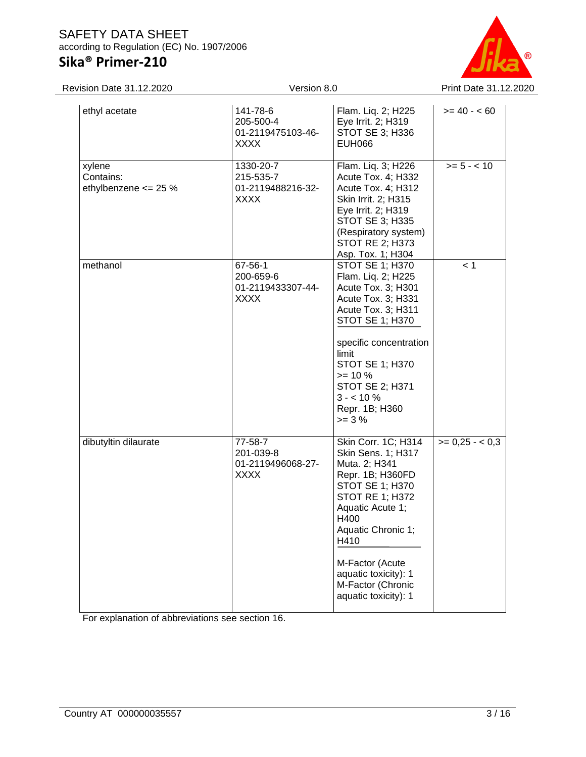## **Sika® Primer-210**



| Revision Date 31.12.2020                    |                                                            | Version 8.0                                                                                                                                                                                                                                                                          |                 |  |  |
|---------------------------------------------|------------------------------------------------------------|--------------------------------------------------------------------------------------------------------------------------------------------------------------------------------------------------------------------------------------------------------------------------------------|-----------------|--|--|
| ethyl acetate                               | 141-78-6<br>205-500-4<br>01-2119475103-46-<br><b>XXXX</b>  | Flam. Liq. 2; H225<br>Eye Irrit. 2; H319<br>STOT SE 3; H336<br><b>EUH066</b>                                                                                                                                                                                                         | $>= 40 - 60$    |  |  |
| xylene<br>Contains:<br>ethylbenzene <= 25 % | 1330-20-7<br>215-535-7<br>01-2119488216-32-<br><b>XXXX</b> | Flam. Liq. 3; H226<br>Acute Tox. 4; H332<br>Acute Tox. 4; H312<br>Skin Irrit. 2; H315<br>Eye Irrit. 2; H319<br>STOT SE 3; H335<br>(Respiratory system)<br><b>STOT RE 2; H373</b><br>Asp. Tox. 1; H304                                                                                | $>= 5 - < 10$   |  |  |
| methanol                                    | 67-56-1<br>200-659-6<br>01-2119433307-44-<br><b>XXXX</b>   | <b>STOT SE 1; H370</b><br>Flam. Liq. 2; H225<br>Acute Tox. 3; H301<br>Acute Tox. 3; H331<br>Acute Tox. 3; H311<br>STOT SE 1; H370<br>specific concentration<br>limit<br><b>STOT SE 1; H370</b><br>$>= 10 %$<br>STOT SE 2; H371<br>$3 - 10\%$<br>Repr. 1B; H360<br>$>= 3%$            | < 1             |  |  |
| dibutyltin dilaurate                        | 77-58-7<br>201-039-8<br>01-2119496068-27-<br><b>XXXX</b>   | Skin Corr. 1C; H314<br>Skin Sens. 1; H317<br>Muta. 2; H341<br>Repr. 1B; H360FD<br><b>STOT SE 1; H370</b><br><b>STOT RE 1; H372</b><br>Aquatic Acute 1;<br>H400<br>Aquatic Chronic 1;<br>H410<br>M-Factor (Acute<br>aquatic toxicity): 1<br>M-Factor (Chronic<br>aquatic toxicity): 1 | $>= 0.25 - 0.3$ |  |  |

For explanation of abbreviations see section 16.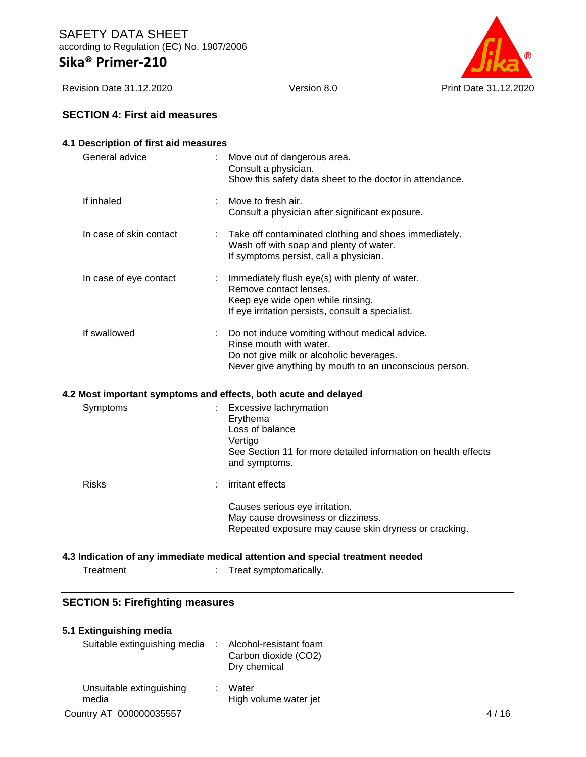Revision Date 31.12.2020 Version 8.0 Print Date 31.12.2020



### **SECTION 4: First aid measures**

| 4.1 Description of first aid measures                           |   |                                                                                                                                                                                 |
|-----------------------------------------------------------------|---|---------------------------------------------------------------------------------------------------------------------------------------------------------------------------------|
| General advice                                                  |   | Move out of dangerous area.<br>Consult a physician.<br>Show this safety data sheet to the doctor in attendance.                                                                 |
| If inhaled                                                      |   | Move to fresh air.<br>Consult a physician after significant exposure.                                                                                                           |
| In case of skin contact                                         |   | Take off contaminated clothing and shoes immediately.<br>Wash off with soap and plenty of water.<br>If symptoms persist, call a physician.                                      |
| In case of eye contact                                          |   | Immediately flush eye(s) with plenty of water.<br>Remove contact lenses.<br>Keep eye wide open while rinsing.<br>If eye irritation persists, consult a specialist.              |
| If swallowed                                                    |   | Do not induce vomiting without medical advice.<br>Rinse mouth with water.<br>Do not give milk or alcoholic beverages.<br>Never give anything by mouth to an unconscious person. |
| 4.2 Most important symptoms and effects, both acute and delayed |   |                                                                                                                                                                                 |
| Symptoms                                                        |   | Excessive lachrymation<br>Erythema<br>Loss of balance<br>Vertigo<br>See Section 11 for more detailed information on health effects<br>and symptoms.                             |
| <b>Risks</b>                                                    |   | irritant effects                                                                                                                                                                |
|                                                                 |   | Causes serious eye irritation.<br>May cause drowsiness or dizziness.<br>Repeated exposure may cause skin dryness or cracking.                                                   |
|                                                                 |   | 4.3 Indication of any immediate medical attention and special treatment needed                                                                                                  |
| Treatment                                                       | t | Treat symptomatically.                                                                                                                                                          |
|                                                                 |   |                                                                                                                                                                                 |

### **SECTION 5: Firefighting measures**

| 5.1 Extinguishing media      |                        |
|------------------------------|------------------------|
| Suitable extinguishing media | Alcohol-resistant foam |

|                                   | Carbon dioxide (CO2)<br>Dry chemical |  |
|-----------------------------------|--------------------------------------|--|
| Unsuitable extinguishing<br>media | Water<br>High volume water jet       |  |
|                                   |                                      |  |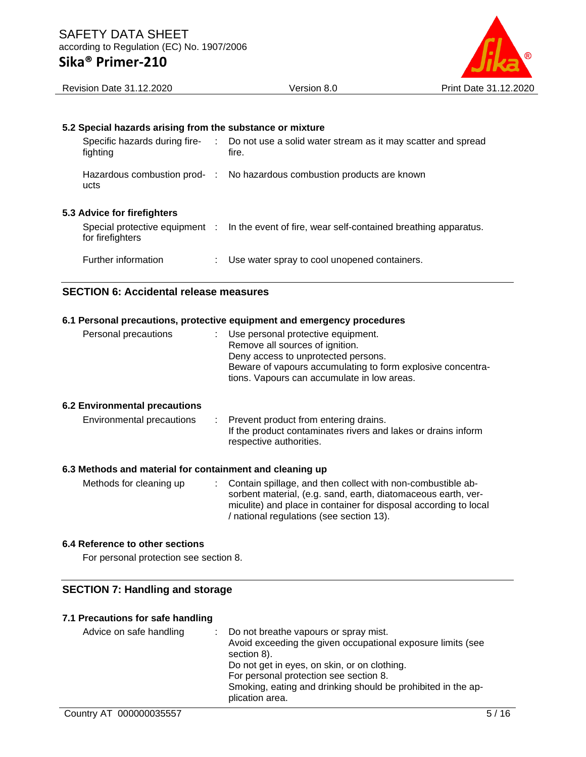

### **5.2 Special hazards arising from the substance or mixture**

| Specific hazards during fire-<br>fighting | Do not use a solid water stream as it may scatter and spread<br>fire.                         |
|-------------------------------------------|-----------------------------------------------------------------------------------------------|
| ucts                                      | Hazardous combustion prod- : No hazardous combustion products are known                       |
| <b>5.3 Advice for firefighters</b>        |                                                                                               |
| for firefighters                          | Special protective equipment : In the event of fire, wear self-contained breathing apparatus. |
| Further information                       | Use water spray to cool unopened containers.                                                  |

### **SECTION 6: Accidental release measures**

#### **6.1 Personal precautions, protective equipment and emergency procedures**

| Personal precautions | : Use personal protective equipment.                        |
|----------------------|-------------------------------------------------------------|
|                      | Remove all sources of ignition.                             |
|                      | Deny access to unprotected persons.                         |
|                      | Beware of vapours accumulating to form explosive concentra- |
|                      | tions. Vapours can accumulate in low areas.                 |
|                      |                                                             |

#### **6.2 Environmental precautions**

Environmental precautions : Prevent product from entering drains. If the product contaminates rivers and lakes or drains inform respective authorities.

#### **6.3 Methods and material for containment and cleaning up**

| Methods for cleaning up | : Contain spillage, and then collect with non-combustible ab-    |
|-------------------------|------------------------------------------------------------------|
|                         | sorbent material, (e.g. sand, earth, diatomaceous earth, ver-    |
|                         | miculite) and place in container for disposal according to local |
|                         | / national regulations (see section 13).                         |

### **6.4 Reference to other sections**

For personal protection see section 8.

### **SECTION 7: Handling and storage**

#### **7.1 Precautions for safe handling**

| Advice on safe handling | : Do not breathe vapours or spray mist.                      |
|-------------------------|--------------------------------------------------------------|
|                         | Avoid exceeding the given occupational exposure limits (see  |
|                         | section 8).                                                  |
|                         | Do not get in eyes, on skin, or on clothing.                 |
|                         | For personal protection see section 8.                       |
|                         | Smoking, eating and drinking should be prohibited in the ap- |
|                         | plication area.                                              |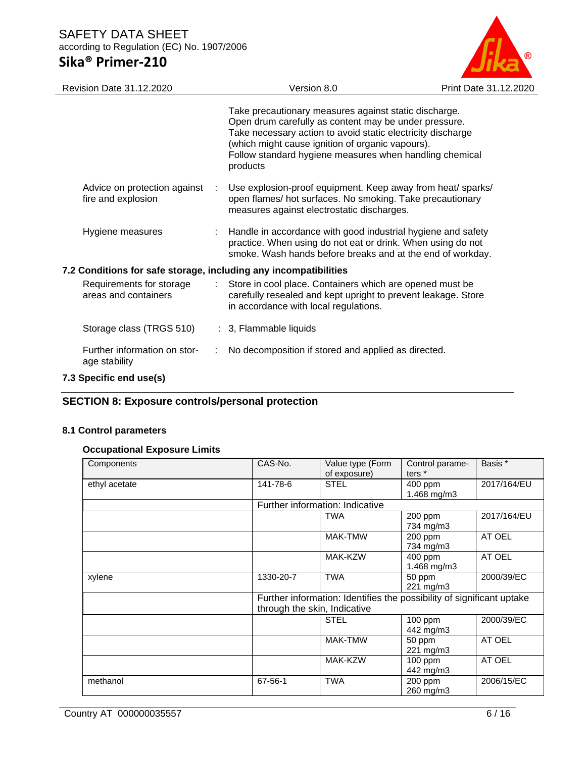

| <b>Revision Date 31.12.2020</b>                                  |               | Version 8.0                                                                                                                                                                                                                                                                                              | Print Date 31.12.2020 |
|------------------------------------------------------------------|---------------|----------------------------------------------------------------------------------------------------------------------------------------------------------------------------------------------------------------------------------------------------------------------------------------------------------|-----------------------|
|                                                                  |               | Take precautionary measures against static discharge.<br>Open drum carefully as content may be under pressure.<br>Take necessary action to avoid static electricity discharge<br>(which might cause ignition of organic vapours).<br>Follow standard hygiene measures when handling chemical<br>products |                       |
| Advice on protection against<br>fire and explosion               | $\mathcal{L}$ | Use explosion-proof equipment. Keep away from heat/ sparks/<br>open flames/ hot surfaces. No smoking. Take precautionary<br>measures against electrostatic discharges.                                                                                                                                   |                       |
| Hygiene measures                                                 |               | Handle in accordance with good industrial hygiene and safety<br>practice. When using do not eat or drink. When using do not<br>smoke. Wash hands before breaks and at the end of workday.                                                                                                                |                       |
| 7.2 Conditions for safe storage, including any incompatibilities |               |                                                                                                                                                                                                                                                                                                          |                       |
| Requirements for storage<br>areas and containers                 |               | Store in cool place. Containers which are opened must be<br>carefully resealed and kept upright to prevent leakage. Store<br>in accordance with local regulations.                                                                                                                                       |                       |
| Storage class (TRGS 510)                                         |               | : 3, Flammable liquids                                                                                                                                                                                                                                                                                   |                       |
| Further information on stor-<br>age stability                    |               | No decomposition if stored and applied as directed.                                                                                                                                                                                                                                                      |                       |
| 7.3 Specific end use(s)                                          |               |                                                                                                                                                                                                                                                                                                          |                       |

### **SECTION 8: Exposure controls/personal protection**

### **8.1 Control parameters**

### **Occupational Exposure Limits**

| Components    | CAS-No.                      | Value type (Form<br>of exposure)                                      | Control parame-<br>ters <sup>*</sup> | Basis *     |
|---------------|------------------------------|-----------------------------------------------------------------------|--------------------------------------|-------------|
| ethyl acetate | 141-78-6                     | <b>STEL</b>                                                           | 400 ppm<br>1.468 mg/m3               | 2017/164/EU |
|               |                              | Further information: Indicative                                       |                                      |             |
|               |                              | <b>TWA</b>                                                            | $200$ ppm<br>734 mg/m3               | 2017/164/EU |
|               |                              | MAK-TMW                                                               | 200 ppm<br>734 mg/m3                 | AT OEL      |
|               |                              | MAK-KZW                                                               | 400 ppm<br>1.468 mg/m3               | AT OEL      |
| xylene        | 1330-20-7                    | <b>TWA</b>                                                            | 50 ppm<br>221 mg/m3                  | 2000/39/EC  |
|               | through the skin, Indicative | Further information: Identifies the possibility of significant uptake |                                      |             |
|               |                              | <b>STEL</b>                                                           | $100$ ppm<br>442 mg/m3               | 2000/39/EC  |
|               |                              | MAK-TMW                                                               | 50 ppm<br>221 mg/m3                  | AT OEL      |
|               |                              | MAK-KZW                                                               | 100 ppm<br>442 mg/m3                 | AT OEL      |
| methanol      | 67-56-1                      | <b>TWA</b>                                                            | 200 ppm<br>260 mg/m3                 | 2006/15/EC  |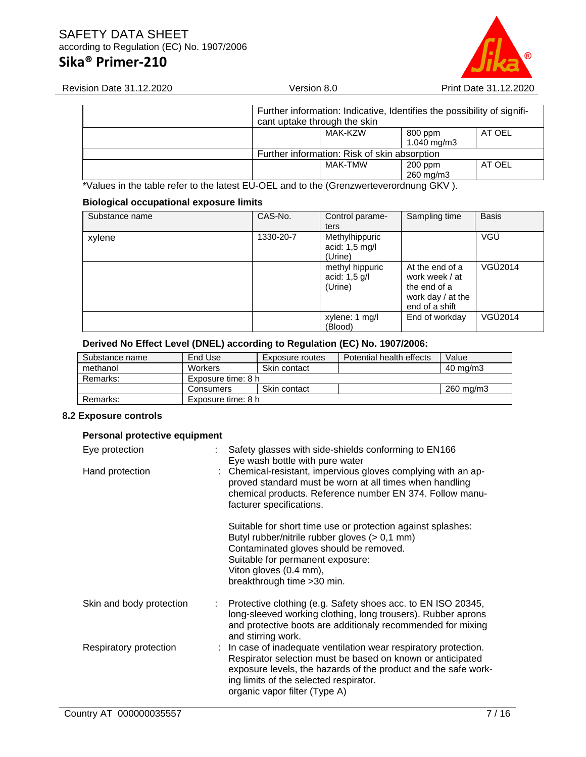## **Sika® Primer-210**



| Revision Date 31.12.2020 | Version 8.0                                  | Print Date 31.12.2020                                                   |
|--------------------------|----------------------------------------------|-------------------------------------------------------------------------|
|                          | cant uptake through the skin                 | Further information: Indicative, Identifies the possibility of signifi- |
|                          | MAK-KZW                                      | AT OEL<br>800 ppm<br>1.040 mg/m3                                        |
|                          | Further information: Risk of skin absorption |                                                                         |
|                          | MAK-TMW                                      | AT OEL<br>$200$ ppm<br>260 mg/m3                                        |

\*Values in the table refer to the latest EU-OEL and to the (Grenzwerteverordnung GKV ).

### **Biological occupational exposure limits**

| Substance name | CAS-No.   | Control parame-<br>ters                     | Sampling time                                                                              | <b>Basis</b> |
|----------------|-----------|---------------------------------------------|--------------------------------------------------------------------------------------------|--------------|
| xylene         | 1330-20-7 | Methylhippuric<br>acid: 1,5 mg/l<br>(Urine) |                                                                                            | VGÜ          |
|                |           | methyl hippuric<br>acid: 1,5 g/l<br>(Urine) | At the end of a<br>work week / at<br>the end of a<br>work day $/$ at the<br>end of a shift | VGÜ2014      |
|                |           | xylene: 1 mg/l<br>(Blood)                   | End of workday                                                                             | VGÜ2014      |

### **Derived No Effect Level (DNEL) according to Regulation (EC) No. 1907/2006:**

| End Use        | Exposure routes | Potential health effects                 | Value             |
|----------------|-----------------|------------------------------------------|-------------------|
| <b>Workers</b> | Skin contact    |                                          | $40 \text{ mg/m}$ |
|                |                 |                                          |                   |
| Consumers      | Skin contact    |                                          | 260 mg/m3         |
|                |                 |                                          |                   |
|                |                 | Exposure time: 8 h<br>Exposure time: 8 h |                   |

### **8.2 Exposure controls**

| Personal protective equipment |   |                                                                                                                                                                                                                                                                             |
|-------------------------------|---|-----------------------------------------------------------------------------------------------------------------------------------------------------------------------------------------------------------------------------------------------------------------------------|
| Eye protection                |   | Safety glasses with side-shields conforming to EN166<br>Eye wash bottle with pure water                                                                                                                                                                                     |
| Hand protection               |   | : Chemical-resistant, impervious gloves complying with an ap-<br>proved standard must be worn at all times when handling<br>chemical products. Reference number EN 374. Follow manu-<br>facturer specifications.                                                            |
|                               |   | Suitable for short time use or protection against splashes:<br>Butyl rubber/nitrile rubber gloves (> 0,1 mm)<br>Contaminated gloves should be removed.<br>Suitable for permanent exposure:<br>Viton gloves (0.4 mm),<br>breakthrough time > 30 min.                         |
| Skin and body protection      | ÷ | Protective clothing (e.g. Safety shoes acc. to EN ISO 20345,<br>long-sleeved working clothing, long trousers). Rubber aprons<br>and protective boots are additionaly recommended for mixing<br>and stirring work.                                                           |
| Respiratory protection        |   | : In case of inadequate ventilation wear respiratory protection.<br>Respirator selection must be based on known or anticipated<br>exposure levels, the hazards of the product and the safe work-<br>ing limits of the selected respirator.<br>organic vapor filter (Type A) |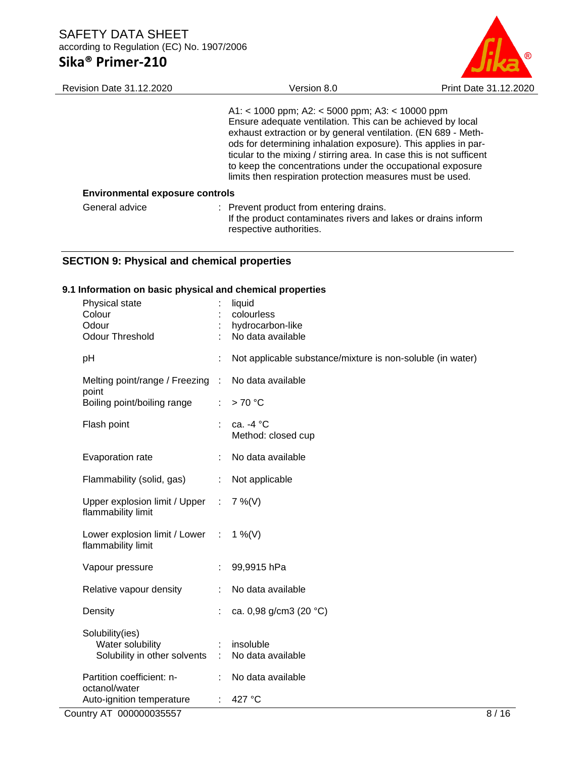

| <b>Revision Date 31.12.2020</b>        | Version 8.0                                                                                                                                                                                                                                                                                                                                                                                                                                         | Print Date 31.12.2020 |
|----------------------------------------|-----------------------------------------------------------------------------------------------------------------------------------------------------------------------------------------------------------------------------------------------------------------------------------------------------------------------------------------------------------------------------------------------------------------------------------------------------|-----------------------|
|                                        | A1: < 1000 ppm; A2: < 5000 ppm; A3: < 10000 ppm<br>Ensure adequate ventilation. This can be achieved by local<br>exhaust extraction or by general ventilation. (EN 689 - Meth-<br>ods for determining inhalation exposure). This applies in par-<br>ticular to the mixing / stirring area. In case this is not sufficent<br>to keep the concentrations under the occupational exposure<br>limits then respiration protection measures must be used. |                       |
| <b>Environmental exposure controls</b> |                                                                                                                                                                                                                                                                                                                                                                                                                                                     |                       |
| General advice                         | : Prevent product from entering drains.<br>If the product contaminates rivers and lakes or drains inform<br>respective authorities.                                                                                                                                                                                                                                                                                                                 |                       |

### **SECTION 9: Physical and chemical properties**

### **9.1 Information on basic physical and chemical properties**

|    | Physical state<br>Colour                                     |                              | liquid<br>colourless                                       |      |
|----|--------------------------------------------------------------|------------------------------|------------------------------------------------------------|------|
|    | Odour                                                        |                              | hydrocarbon-like                                           |      |
|    | <b>Odour Threshold</b>                                       |                              | No data available                                          |      |
| pH |                                                              |                              | Not applicable substance/mixture is non-soluble (in water) |      |
|    | Melting point/range / Freezing :<br>point                    |                              | No data available                                          |      |
|    | Boiling point/boiling range                                  | $\mathcal{L}_{\mathrm{max}}$ | >70 °C                                                     |      |
|    | Flash point                                                  |                              | ca. -4 °C<br>Method: closed cup                            |      |
|    | Evaporation rate                                             |                              | No data available                                          |      |
|    | Flammability (solid, gas)                                    | ÷.                           | Not applicable                                             |      |
|    | Upper explosion limit / Upper : 7 %(V)<br>flammability limit |                              |                                                            |      |
|    | Lower explosion limit / Lower :<br>flammability limit        |                              | 1 %(V)                                                     |      |
|    | Vapour pressure                                              |                              | 99,9915 hPa                                                |      |
|    | Relative vapour density                                      |                              | No data available                                          |      |
|    | Density                                                      |                              | ca. 0,98 g/cm3 (20 °C)                                     |      |
|    | Solubility(ies)                                              |                              |                                                            |      |
|    | Water solubility<br>Solubility in other solvents :           |                              | insoluble<br>No data available                             |      |
|    |                                                              |                              |                                                            |      |
|    | Partition coefficient: n-<br>octanol/water                   | ÷.                           | No data available                                          |      |
|    | Auto-ignition temperature                                    | ÷                            | 427 °C                                                     |      |
|    | Country AT 000000035557                                      |                              |                                                            | 8/16 |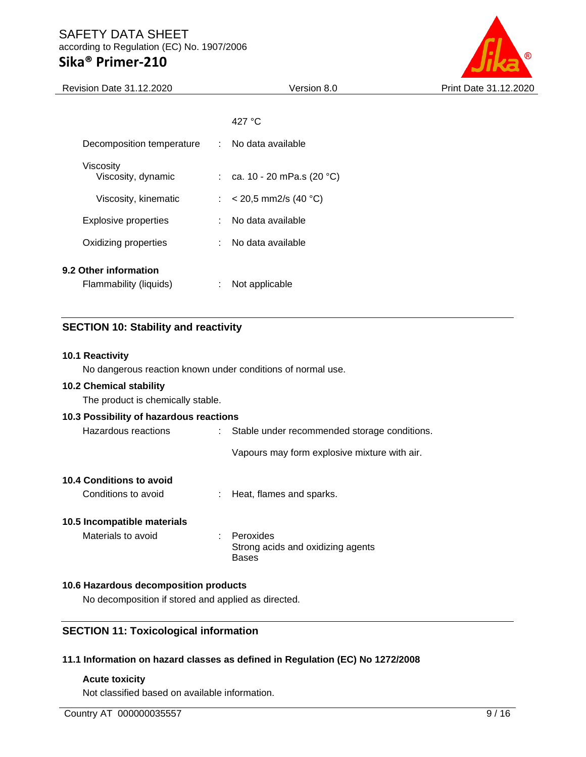### **Sika® Primer-210**



| <b>Revision Date 31.12.2020</b>                 |    | Version 8.0                 | Print Date 31.12.2020 |
|-------------------------------------------------|----|-----------------------------|-----------------------|
|                                                 |    |                             |                       |
|                                                 |    | 427 °C                      |                       |
| Decomposition temperature                       |    | : No data available         |                       |
| Viscosity<br>Viscosity, dynamic                 |    | : ca. 10 - 20 mPa.s (20 °C) |                       |
| Viscosity, kinematic                            |    | : $< 20.5$ mm2/s (40 °C)    |                       |
| <b>Explosive properties</b>                     | ÷. | No data available           |                       |
| Oxidizing properties                            |    | : No data available         |                       |
| 9.2 Other information<br>Flammability (liquids) | ÷  | Not applicable              |                       |
|                                                 |    |                             |                       |

### **SECTION 10: Stability and reactivity**

### **10.1 Reactivity**

No dangerous reaction known under conditions of normal use.

#### **10.2 Chemical stability**

The product is chemically stable.

### **10.3 Possibility of hazardous reactions**

| Hazardous reactions | : Stable under recommended storage conditions. |
|---------------------|------------------------------------------------|
|                     | Vapours may form explosive mixture with air.   |

### **10.4 Conditions to avoid**

Conditions to avoid : Heat, flames and sparks.

### **10.5 Incompatible materials**

Materials to avoid : Peroxides Strong acids and oxidizing agents Bases

### **10.6 Hazardous decomposition products**

No decomposition if stored and applied as directed.

### **SECTION 11: Toxicological information**

### **11.1 Information on hazard classes as defined in Regulation (EC) No 1272/2008**

#### **Acute toxicity**

Not classified based on available information.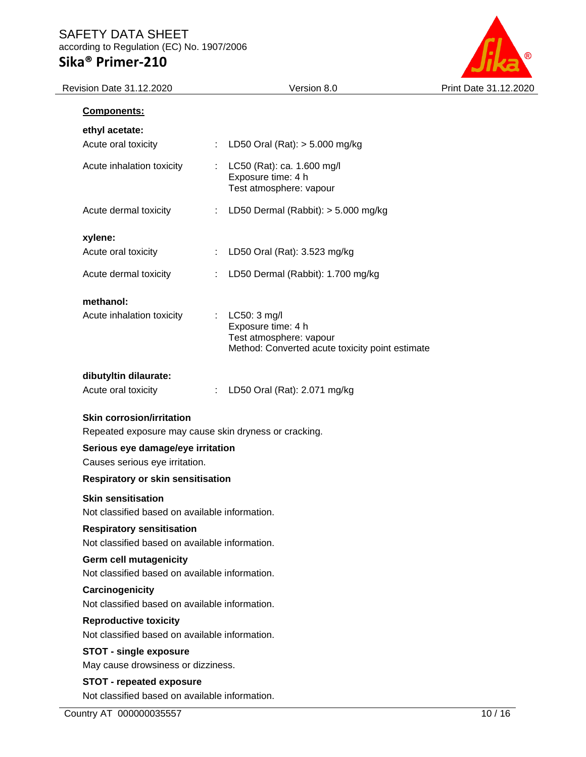

| ethyl acetate:                                                              |                                                                                                                               |       |
|-----------------------------------------------------------------------------|-------------------------------------------------------------------------------------------------------------------------------|-------|
| Acute oral toxicity                                                         | ÷.<br>LD50 Oral (Rat): $> 5.000$ mg/kg                                                                                        |       |
| Acute inhalation toxicity                                                   | LC50 (Rat): ca. 1.600 mg/l<br>$\mathbb{N}^{\mathbb{N}}$<br>Exposure time: 4 h<br>Test atmosphere: vapour                      |       |
| Acute dermal toxicity                                                       | LD50 Dermal (Rabbit): > 5.000 mg/kg<br>÷.                                                                                     |       |
| xylene:                                                                     |                                                                                                                               |       |
| Acute oral toxicity                                                         | : LD50 Oral (Rat): 3.523 mg/kg                                                                                                |       |
| Acute dermal toxicity                                                       | LD50 Dermal (Rabbit): 1.700 mg/kg                                                                                             |       |
| methanol:                                                                   |                                                                                                                               |       |
| Acute inhalation toxicity                                                   | $\therefore$ LC50: 3 mg/l<br>Exposure time: 4 h<br>Test atmosphere: vapour<br>Method: Converted acute toxicity point estimate |       |
| dibutyltin dilaurate:                                                       |                                                                                                                               |       |
| Acute oral toxicity                                                         | : LD50 Oral (Rat): 2.071 mg/kg                                                                                                |       |
| <b>Skin corrosion/irritation</b><br>Serious eye damage/eye irritation       | Repeated exposure may cause skin dryness or cracking.                                                                         |       |
| Causes serious eye irritation.                                              |                                                                                                                               |       |
| <b>Respiratory or skin sensitisation</b>                                    |                                                                                                                               |       |
| <b>Skin sensitisation</b><br>Not classified based on available information. |                                                                                                                               |       |
| <b>Respiratory sensitisation</b>                                            |                                                                                                                               |       |
| Not classified based on available information.                              |                                                                                                                               |       |
| Germ cell mutagenicity<br>Not classified based on available information.    |                                                                                                                               |       |
| Carcinogenicity                                                             |                                                                                                                               |       |
| Not classified based on available information.                              |                                                                                                                               |       |
| <b>Reproductive toxicity</b>                                                |                                                                                                                               |       |
| Not classified based on available information.                              |                                                                                                                               |       |
| <b>STOT - single exposure</b><br>May cause drowsiness or dizziness.         |                                                                                                                               |       |
| <b>STOT - repeated exposure</b>                                             |                                                                                                                               |       |
| Not classified based on available information.                              |                                                                                                                               |       |
| Country AT 000000035557                                                     |                                                                                                                               | 10/16 |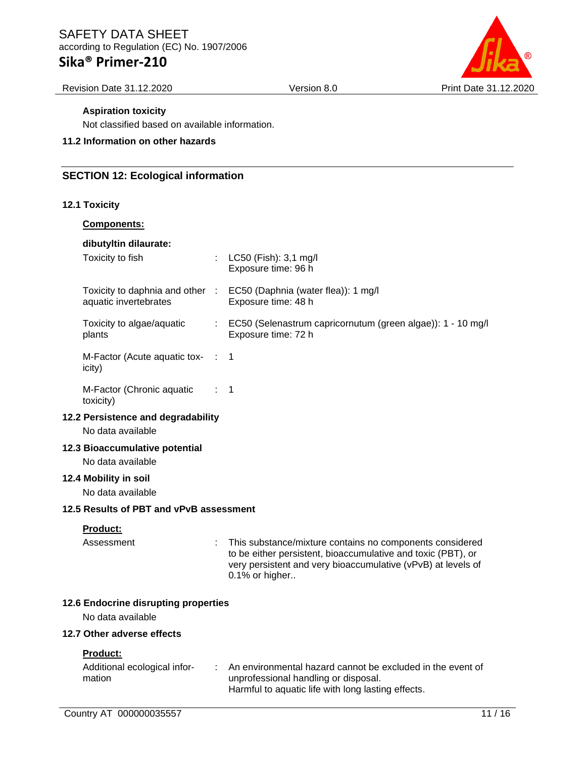## **Sika® Primer-210**

Revision Date 31.12.2020 Version 8.0 Print Date 31.12.2020

### **Aspiration toxicity**

Not classified based on available information.

### **11.2 Information on other hazards**

### **SECTION 12: Ecological information**

### **12.1 Toxicity**

| <b>Components:</b>                                        |                  |                                                                                                                                                                                                            |
|-----------------------------------------------------------|------------------|------------------------------------------------------------------------------------------------------------------------------------------------------------------------------------------------------------|
| dibutyltin dilaurate:<br>Toxicity to fish                 |                  | : LC50 (Fish): 3,1 mg/l<br>Exposure time: 96 h                                                                                                                                                             |
| Toxicity to daphnia and other :<br>aquatic invertebrates  |                  | EC50 (Daphnia (water flea)): 1 mg/l<br>Exposure time: 48 h                                                                                                                                                 |
| Toxicity to algae/aquatic<br>plants                       |                  | EC50 (Selenastrum capricornutum (green algae)): 1 - 10 mg/l<br>Exposure time: 72 h                                                                                                                         |
| M-Factor (Acute aquatic tox-<br>icity)                    | $\sim$ 10 $\sim$ | $\mathbf 1$                                                                                                                                                                                                |
| M-Factor (Chronic aquatic<br>toxicity)                    |                  | 1                                                                                                                                                                                                          |
| 12.2 Persistence and degradability<br>No data available   |                  |                                                                                                                                                                                                            |
| 12.3 Bioaccumulative potential<br>No data available       |                  |                                                                                                                                                                                                            |
| 12.4 Mobility in soil<br>No data available                |                  |                                                                                                                                                                                                            |
| 12.5 Results of PBT and vPvB assessment                   |                  |                                                                                                                                                                                                            |
| Product:<br>Assessment                                    |                  | This substance/mixture contains no components considered<br>to be either persistent, bioaccumulative and toxic (PBT), or<br>very persistent and very bioaccumulative (vPvB) at levels of<br>0.1% or higher |
| 12.6 Endocrine disrupting properties<br>No data available |                  |                                                                                                                                                                                                            |
| 12.7 Other adverse effects                                |                  |                                                                                                                                                                                                            |
| Product:<br>Additional ecological infor-<br>mation        |                  | An environmental hazard cannot be excluded in the event of<br>unprofessional handling or disposal.<br>Harmful to aquatic life with long lasting effects.                                                   |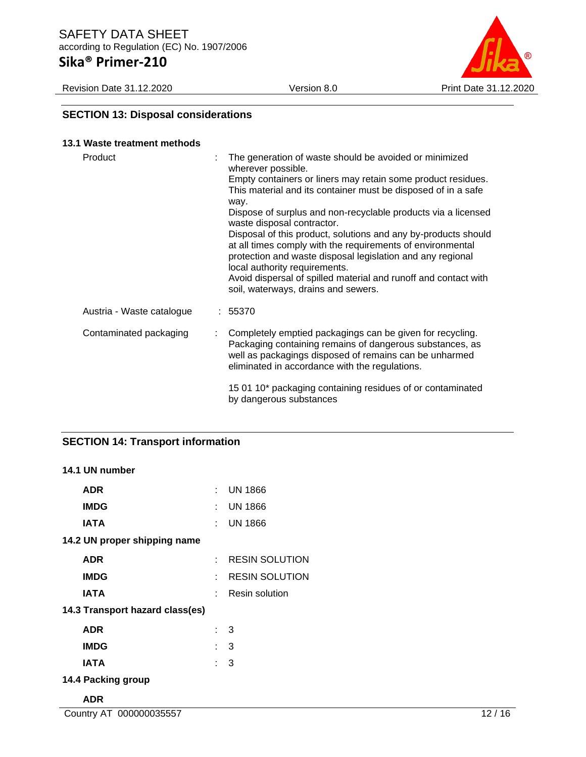Revision Date 31.12.2020 Version 8.0 Print Date 31.12.2020



### **SECTION 13: Disposal considerations**

| 13.1 Waste treatment methods |   |                                                                                                                                                                                                                                                                                                                                                                                                                                                                                                                                                                                                                                                               |
|------------------------------|---|---------------------------------------------------------------------------------------------------------------------------------------------------------------------------------------------------------------------------------------------------------------------------------------------------------------------------------------------------------------------------------------------------------------------------------------------------------------------------------------------------------------------------------------------------------------------------------------------------------------------------------------------------------------|
| Product<br>t                 |   | The generation of waste should be avoided or minimized<br>wherever possible.<br>Empty containers or liners may retain some product residues.<br>This material and its container must be disposed of in a safe<br>way.<br>Dispose of surplus and non-recyclable products via a licensed<br>waste disposal contractor.<br>Disposal of this product, solutions and any by-products should<br>at all times comply with the requirements of environmental<br>protection and waste disposal legislation and any regional<br>local authority requirements.<br>Avoid dispersal of spilled material and runoff and contact with<br>soil, waterways, drains and sewers. |
| Austria - Waste catalogue    |   | : 55370                                                                                                                                                                                                                                                                                                                                                                                                                                                                                                                                                                                                                                                       |
| Contaminated packaging       | t | Completely emptied packagings can be given for recycling.<br>Packaging containing remains of dangerous substances, as<br>well as packagings disposed of remains can be unharmed<br>eliminated in accordance with the regulations.                                                                                                                                                                                                                                                                                                                                                                                                                             |
|                              |   | 15 01 10* packaging containing residues of or contaminated<br>by dangerous substances                                                                                                                                                                                                                                                                                                                                                                                                                                                                                                                                                                         |

### **SECTION 14: Transport information**

### **14.1 UN number**

| <b>ADR</b>                      |     | $:$ UN 1866           |
|---------------------------------|-----|-----------------------|
| <b>IMDG</b>                     | t.  | <b>UN 1866</b>        |
| IATA                            | t.  | <b>UN 1866</b>        |
| 14.2 UN proper shipping name    |     |                       |
| <b>ADR</b>                      |     | <b>RESIN SOLUTION</b> |
| <b>IMDG</b>                     |     | <b>RESIN SOLUTION</b> |
| IATA                            |     | Resin solution        |
| 14.3 Transport hazard class(es) |     |                       |
| ADR                             |     | : 3                   |
| <b>IMDG</b>                     | : 3 |                       |
| IATA                            | : 3 |                       |
| 14.4 Packing group              |     |                       |
|                                 |     |                       |

### **ADR**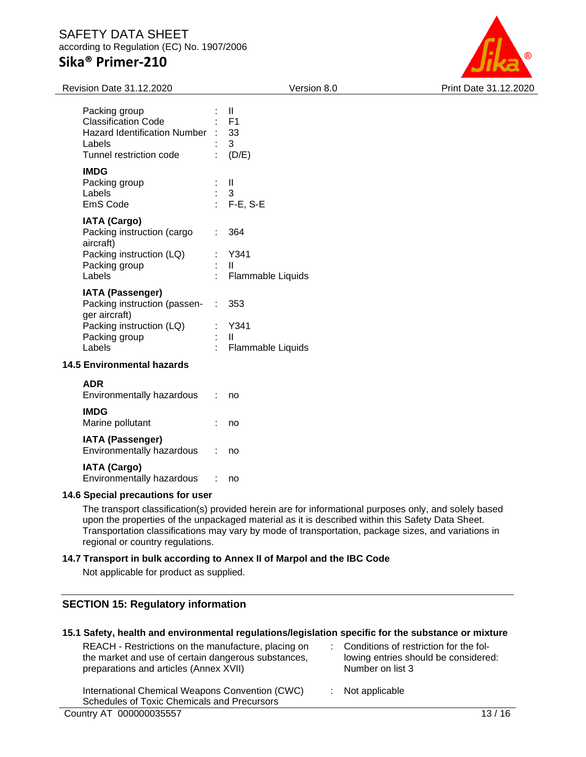

| Revision Date 31.12.2020                                                                                                        | Version 8.0                                                                        | Print Date 31.12.2020 |
|---------------------------------------------------------------------------------------------------------------------------------|------------------------------------------------------------------------------------|-----------------------|
| Packing group<br><b>Classification Code</b><br>Hazard Identification Number :<br>Labels<br>Tunnel restriction code              | $\mathbf{II}$<br>F1<br>33<br>3<br>(D/E)                                            |                       |
| <b>IMDG</b><br>Packing group<br>Labels<br>EmS Code                                                                              | Ш<br>3<br>F-E, S-E                                                                 |                       |
| <b>IATA (Cargo)</b><br>Packing instruction (cargo<br>aircraft)<br>Packing instruction (LQ)<br>Packing group<br>Labels           | 364<br>÷.<br>: Y341<br>$\mathbf{H}$<br>Flammable Liquids                           |                       |
| <b>IATA (Passenger)</b><br>Packing instruction (passen-<br>ger aircraft)<br>Packing instruction (LQ)<br>Packing group<br>Labels | 353<br>$\mathcal{I}^{\mathcal{I}}$ .<br>Y341<br>$\mathbf{II}$<br>Flammable Liquids |                       |
| <b>14.5 Environmental hazards</b>                                                                                               |                                                                                    |                       |
| <b>ADR</b><br>Environmentally hazardous                                                                                         | ÷.<br>no                                                                           |                       |
| <b>IMDG</b><br>Marine pollutant                                                                                                 | no                                                                                 |                       |
| <b>IATA (Passenger)</b><br>Environmentally hazardous                                                                            | no                                                                                 |                       |

#### **IATA (Cargo)**

Environmentally hazardous : no

#### **14.6 Special precautions for user**

The transport classification(s) provided herein are for informational purposes only, and solely based upon the properties of the unpackaged material as it is described within this Safety Data Sheet. Transportation classifications may vary by mode of transportation, package sizes, and variations in regional or country regulations.

### **14.7 Transport in bulk according to Annex II of Marpol and the IBC Code**

Not applicable for product as supplied.

### **SECTION 15: Regulatory information**

|  |  |  | 15.1 Safety, health and environmental regulations/legislation specific for the substance or mixture |  |  |  |  |  |  |
|--|--|--|-----------------------------------------------------------------------------------------------------|--|--|--|--|--|--|
|--|--|--|-----------------------------------------------------------------------------------------------------|--|--|--|--|--|--|

REACH - Restrictions on the manufacture, placing on the market and use of certain dangerous substances, preparations and articles (Annex XVII)

: Conditions of restriction for the following entries should be considered: Number on list 3

: Not applicable

International Chemical Weapons Convention (CWC) Schedules of Toxic Chemicals and Precursors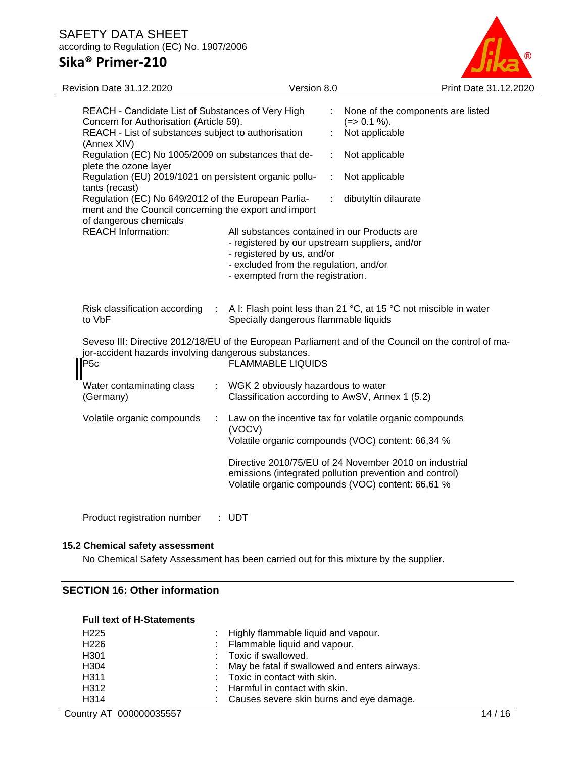

| REACH - Candidate List of Substances of Very High<br>None of the components are listed<br>÷.<br>Concern for Authorisation (Article 59).<br>$(=>0.1\%).$<br>REACH - List of substances subject to authorisation<br>Not applicable<br>(Annex XIV)<br>Regulation (EC) No 1005/2009 on substances that de-<br>Not applicable<br>plete the ozone layer<br>Regulation (EU) 2019/1021 on persistent organic pollu-<br>Not applicable<br>÷<br>tants (recast)<br>Regulation (EC) No 649/2012 of the European Parlia-<br>dibutyltin dilaurate<br>ment and the Council concerning the export and import<br>of dangerous chemicals | Print Date 31.12.2020 |
|------------------------------------------------------------------------------------------------------------------------------------------------------------------------------------------------------------------------------------------------------------------------------------------------------------------------------------------------------------------------------------------------------------------------------------------------------------------------------------------------------------------------------------------------------------------------------------------------------------------------|-----------------------|
|                                                                                                                                                                                                                                                                                                                                                                                                                                                                                                                                                                                                                        |                       |
|                                                                                                                                                                                                                                                                                                                                                                                                                                                                                                                                                                                                                        |                       |
|                                                                                                                                                                                                                                                                                                                                                                                                                                                                                                                                                                                                                        |                       |
|                                                                                                                                                                                                                                                                                                                                                                                                                                                                                                                                                                                                                        |                       |
| <b>REACH Information:</b><br>All substances contained in our Products are<br>- registered by our upstream suppliers, and/or<br>- registered by us, and/or<br>- excluded from the regulation, and/or<br>- exempted from the registration.                                                                                                                                                                                                                                                                                                                                                                               |                       |
| Risk classification according<br>A I: Flash point less than 21 °C, at 15 °C not miscible in water<br>÷<br>Specially dangerous flammable liquids<br>to VbF                                                                                                                                                                                                                                                                                                                                                                                                                                                              |                       |
| Seveso III: Directive 2012/18/EU of the European Parliament and of the Council on the control of ma-<br>jor-accident hazards involving dangerous substances.<br>P <sub>5c</sub><br><b>FLAMMABLE LIQUIDS</b>                                                                                                                                                                                                                                                                                                                                                                                                            |                       |
| WGK 2 obviously hazardous to water<br>Water contaminating class<br>Classification according to AwSV, Annex 1 (5.2)<br>(Germany)                                                                                                                                                                                                                                                                                                                                                                                                                                                                                        |                       |
| Volatile organic compounds<br>Law on the incentive tax for volatile organic compounds<br>(VOCV)<br>Volatile organic compounds (VOC) content: 66,34 %                                                                                                                                                                                                                                                                                                                                                                                                                                                                   |                       |
| Directive 2010/75/EU of 24 November 2010 on industrial<br>emissions (integrated pollution prevention and control)<br>Volatile organic compounds (VOC) content: 66,61 %                                                                                                                                                                                                                                                                                                                                                                                                                                                 |                       |

Product registration number : UDT

### **15.2 Chemical safety assessment**

No Chemical Safety Assessment has been carried out for this mixture by the supplier.

### **SECTION 16: Other information**

### **Full text of H-Statements**

| H <sub>225</sub> | : Highly flammable liquid and vapour.           |
|------------------|-------------------------------------------------|
| H <sub>226</sub> | : Flammable liquid and vapour.                  |
| H <sub>301</sub> | : Toxic if swallowed.                           |
| H304             | : May be fatal if swallowed and enters airways. |
| H <sub>311</sub> | : Toxic in contact with skin.                   |
| H312             | $\therefore$ Harmful in contact with skin.      |
| H314             | : Causes severe skin burns and eye damage.      |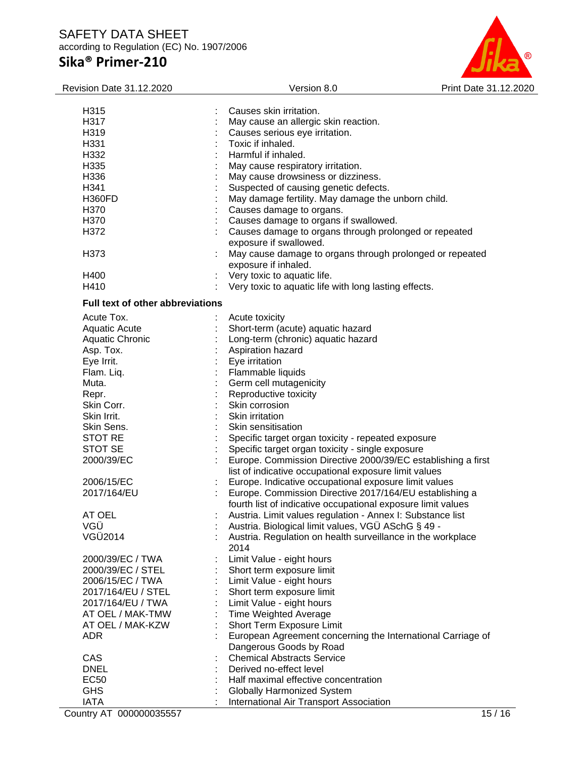## **Sika® Primer-210**



| <b>Revision Date 31.12.2020</b>         | Version 8.0                                                  | Print Date 31.12.2020 |
|-----------------------------------------|--------------------------------------------------------------|-----------------------|
|                                         |                                                              |                       |
| H315                                    | Causes skin irritation.                                      |                       |
| H317                                    | May cause an allergic skin reaction.                         |                       |
| H319                                    | Causes serious eye irritation.                               |                       |
| H331                                    | Toxic if inhaled.                                            |                       |
| H332                                    | Harmful if inhaled.                                          |                       |
| H335                                    | May cause respiratory irritation.                            |                       |
| H336                                    | May cause drowsiness or dizziness.                           |                       |
| H341                                    | Suspected of causing genetic defects.                        |                       |
| <b>H360FD</b>                           | May damage fertility. May damage the unborn child.           |                       |
| H370                                    | Causes damage to organs.                                     |                       |
| H370                                    | Causes damage to organs if swallowed.                        |                       |
| H372                                    | Causes damage to organs through prolonged or repeated        |                       |
|                                         | exposure if swallowed.                                       |                       |
| H373                                    | May cause damage to organs through prolonged or repeated     |                       |
|                                         | exposure if inhaled.                                         |                       |
| H400                                    | Very toxic to aquatic life.                                  |                       |
| H410                                    | Very toxic to aquatic life with long lasting effects.        |                       |
| <b>Full text of other abbreviations</b> |                                                              |                       |
| Acute Tox.                              | Acute toxicity                                               |                       |
| Aquatic Acute                           | Short-term (acute) aquatic hazard                            |                       |
| Aquatic Chronic                         | Long-term (chronic) aquatic hazard                           |                       |
| Asp. Tox.                               | Aspiration hazard                                            |                       |
| Eye Irrit.                              | Eye irritation                                               |                       |
| Flam. Liq.                              | Flammable liquids                                            |                       |
| Muta.                                   | Germ cell mutagenicity                                       |                       |
| Repr.                                   | Reproductive toxicity                                        |                       |
| Skin Corr.                              | Skin corrosion                                               |                       |
| Skin Irrit.                             | Skin irritation                                              |                       |
| Skin Sens.                              | Skin sensitisation                                           |                       |
| STOT RE                                 | Specific target organ toxicity - repeated exposure           |                       |
| STOT SE                                 | Specific target organ toxicity - single exposure             |                       |
| 2000/39/EC                              | Europe. Commission Directive 2000/39/EC establishing a first |                       |
|                                         | list of indicative occupational exposure limit values        |                       |
| 2006/15/EC                              | Europe. Indicative occupational exposure limit values        |                       |
| 2017/164/EU                             | Europe. Commission Directive 2017/164/EU establishing a      |                       |
|                                         | fourth list of indicative occupational exposure limit values |                       |
| AT OEL                                  | Austria. Limit values regulation - Annex I: Substance list   |                       |
| VGÜ                                     | Austria. Biological limit values, VGÜ ASchG § 49 -           |                       |
| VGÜ2014                                 | Austria. Regulation on health surveillance in the workplace  |                       |
|                                         | 2014                                                         |                       |
| 2000/39/EC / TWA                        | Limit Value - eight hours                                    |                       |
| 2000/39/EC / STEL                       | Short term exposure limit                                    |                       |
| 2006/15/EC / TWA                        | Limit Value - eight hours                                    |                       |
| 2017/164/EU / STEL                      | Short term exposure limit                                    |                       |
| 2017/164/EU / TWA                       | Limit Value - eight hours                                    |                       |
| AT OEL / MAK-TMW                        | <b>Time Weighted Average</b>                                 |                       |
| AT OEL / MAK-KZW                        | Short Term Exposure Limit                                    |                       |
|                                         |                                                              |                       |
| ADR                                     | European Agreement concerning the International Carriage of  |                       |
|                                         | Dangerous Goods by Road                                      |                       |
| CAS                                     | <b>Chemical Abstracts Service</b>                            |                       |
| <b>DNEL</b>                             | Derived no-effect level                                      |                       |
| <b>EC50</b>                             | Half maximal effective concentration                         |                       |
| <b>GHS</b>                              | Globally Harmonized System                                   |                       |
| <b>IATA</b>                             | International Air Transport Association                      |                       |

Country AT 000000035557 15 / 16